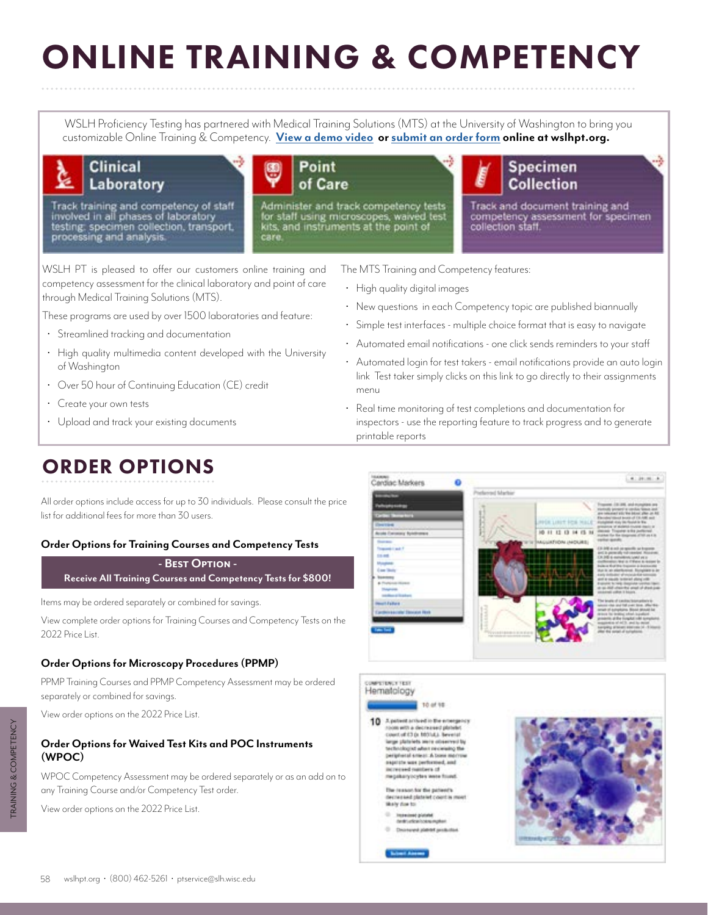# ONLINE TRAINING & COMPETENCY

WSLH Proficiency Testing has partnered with Medical Training Solutions (MTS) at the University of Washington to bring you customizable Online Training & Competency. **[View a demo video](https://www.medtraining.org/tours/LabTour/LabTour.html) or [submit an order form](https://wslhpt.org/forms/) online at wslhpt.org.**



# Laboratory

Track training and competency of staff<br>involved in all phases of laboratory<br>testing: specimen collection, transport,<br>processing and analysis.



Administer and track competency tests for staff using microscopes, waived t<br>kits, and instruments at the point of



Track and document training and competency assessment for specimen collection staff.

WSLH PT is pleased to offer our customers online training and competency assessment for the clinical laboratory and point of care through Medical Training Solutions (MTS).

These programs are used by over 1500 laboratories and feature:

- Streamlined tracking and documentation
- High quality multimedia content developed with the University of Washington
- Over 50 hour of Continuing Education (CE) credit
- Create your own tests
- Upload and track your existing documents

The MTS Training and Competency features:

- High quality digital images
- New questions in each Competency topic are published biannually
- Simple test interfaces multiple choice format that is easy to navigate
- Automated email notifications one click sends reminders to your staff
- Automated login for test takers email notifications provide an auto login link Test taker simply clicks on this link to go directly to their assignments menu
- Real time monitoring of test completions and documentation for inspectors - use the reporting feature to track progress and to generate printable reports



All order options include access for up to 30 individuals. Please consult the price list for additional fees for more than 30 users.

### **Order Options for Training Courses and Competency Tests**

**- Best Option - Receive All Training Courses and Competency Tests for \$800!**

Items may be ordered separately or combined for savings.

View complete order options for Training Courses and Competency Tests on the 2022 Price List.

### **Order Options for Microscopy Procedures (PPMP)**

PPMP Training Courses and PPMP Competency Assessment may be ordered separately or combined for savings.

View order options on the 2022 Price List.

### **Order Options for Waived Test Kits and POC Instruments (WPOC)**

WPOC Competency Assessment may be ordered separately or as an add on to any Training Course and/or Competency Test order.

View order options on the 2022 Price List.



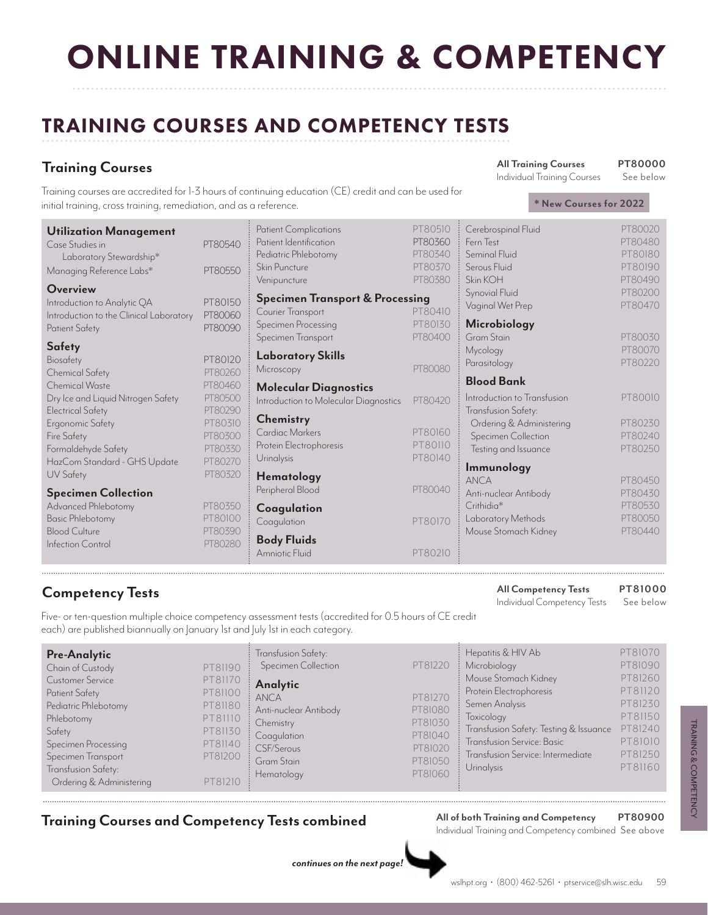# ONLINE TRAINING & COMPETENCY

# TRAINING COURSES AND COMPETENCY TESTS

## **Training Courses**

Individual Training Courses

Training courses are accredited for 1-3 hours of continuing education (CE) credit and can be used for initial training, cross training, remediation, and as a reference.

| <b>Utilization Management</b>           |         | <b>Patient Complications</b>               | PT80510 | Cerebrospinal Fluid         | PT80020 |
|-----------------------------------------|---------|--------------------------------------------|---------|-----------------------------|---------|
| Case Studies in                         | PT80540 | Patient Identification                     | PT80360 | Fern Test                   | PT80480 |
| Laboratory Stewardship*                 |         | Pediatric Phlebotomy                       | PT80340 | Seminal Fluid               | PT80180 |
| Managing Reference Labs*                | PT80550 | Skin Puncture                              | PT80370 | Serous Fluid                | PT80190 |
|                                         |         | Venipuncture                               | PT80380 | Skin KOH                    | PT80490 |
| Overview                                |         | <b>Specimen Transport &amp; Processing</b> |         | Synovial Fluid              | PT80200 |
| Introduction to Analytic QA             | PT80150 | Courier Transport                          | PT80410 | Vaginal Wet Prep            | PT80470 |
| Introduction to the Clinical Laboratory | PT80060 |                                            | PT80130 |                             |         |
| Patient Safety                          | PT80090 | Specimen Processing                        | PT80400 | Microbiology<br>Gram Stain  | PT80030 |
| <b>Safety</b>                           |         | Specimen Transport                         |         |                             | PT80070 |
| Biosafety                               | PT80120 | <b>Laboratory Skills</b>                   |         | Mycology                    |         |
| Chemical Safety                         | PT80260 | Microscopy                                 | PT80080 | Parasitology                | PT80220 |
| <b>Chemical Waste</b>                   | PT80460 |                                            |         | <b>Blood Bank</b>           |         |
| Dry Ice and Liquid Nitrogen Safety      | PT80500 | <b>Molecular Diagnostics</b>               |         | Introduction to Transfusion | PT80010 |
| <b>Electrical Safety</b>                | PT80290 | Introduction to Molecular Diagnostics      | PT80420 | Transfusion Safety:         |         |
|                                         | PT80310 | <b>Chemistry</b>                           |         | Ordering & Administering    | PT80230 |
| Ergonomic Safety                        | PT80300 | Cardiac Markers                            | PT80160 | Specimen Collection         | PT80240 |
| Fire Safety                             | PT80330 | Protein Electrophoresis                    | PT80110 | Testing and Issuance        | PT80250 |
| Formaldehyde Safety                     |         | <b>Urinalysis</b>                          | PT80140 |                             |         |
| HazCom Standard - GHS Update            | PT80270 |                                            |         | Immunology                  |         |
| UV Safety                               | PT80320 | <b>Hematology</b>                          |         | <b>ANCA</b>                 | PT80450 |
| <b>Specimen Collection</b>              |         | Peripheral Blood                           | PT80040 | Anti-nuclear Antibody       | PT80430 |
| Advanced Phlebotomy                     | PT80350 | Coagulation                                |         | Crithidia*                  | PT80530 |
| <b>Basic Phlebotomy</b>                 | PT80100 | Coagulation                                | PT80170 | Laboratory Methods          | PT80050 |
| <b>Blood Culture</b>                    | PT80390 |                                            |         | Mouse Stomach Kidney        | PT80440 |
| Infection Control                       | PT80280 | <b>Body Fluids</b>                         |         |                             |         |
|                                         |         | Amniotic Fluid                             | PT80210 |                             |         |

**All Competency Tests** Individual Competency Tests **Competency Tests PT81000**

See below

Five- or ten-question multiple choice competency assessment tests (accredited for 0.5 hours of CE credit each) are published biannually on January 1st and July 1st in each category.

| <b>Pre-Analytic</b><br>PT81190<br>Chain of Custody<br>PT81170<br><b>Customer Service</b><br>PT81100<br>Patient Safety<br>Pediatric Phlebotomy<br>PT81180<br>PT81110<br>Phlebotomy<br>PT81130<br>Safety<br>PT81140<br>Specimen Processing<br>PT81200<br>Specimen Transport<br>Transfusion Safety:<br>Ordering & Administering<br>PT81210 | Transfusion Safety:<br>Specimen Collection<br>Analytic<br>ANCA<br>: Anti-nuclear Antibody<br>: Chemistry<br>Coagulation<br>: CSF/Serous<br>Gram Stain<br>Hematology | PT81220<br>PT81270<br>PT81080<br>PT81030<br>PT81040<br>PT81020<br>PT81050<br>PT81060 | Hepatitis & HIV Ab<br>Microbiology<br>Mouse Stomach Kidney<br>Protein Electrophoresis<br>Semen Analysis<br>Toxicology<br>Transfusion Safety: Testing & Issuance<br>Transfusion Service: Basic<br>Transfusion Service: Intermediate<br><b>Urinalysis</b> | PT81070<br>PT81090<br>PT81260<br>PT81120<br>PT81230<br>PT81150<br>PT81240<br>PT81010<br>PT81250<br>PT81160 |
|-----------------------------------------------------------------------------------------------------------------------------------------------------------------------------------------------------------------------------------------------------------------------------------------------------------------------------------------|---------------------------------------------------------------------------------------------------------------------------------------------------------------------|--------------------------------------------------------------------------------------|---------------------------------------------------------------------------------------------------------------------------------------------------------------------------------------------------------------------------------------------------------|------------------------------------------------------------------------------------------------------------|
|-----------------------------------------------------------------------------------------------------------------------------------------------------------------------------------------------------------------------------------------------------------------------------------------------------------------------------------------|---------------------------------------------------------------------------------------------------------------------------------------------------------------------|--------------------------------------------------------------------------------------|---------------------------------------------------------------------------------------------------------------------------------------------------------------------------------------------------------------------------------------------------------|------------------------------------------------------------------------------------------------------------|

## **Training Courses and Competency Tests combined All of both Training and Competency**

Individual Training and Competency combined See above **PT80900**

*continues on the next page!*

**All Training Courses**

**\* New Courses for 2022**

**PT80000** See below